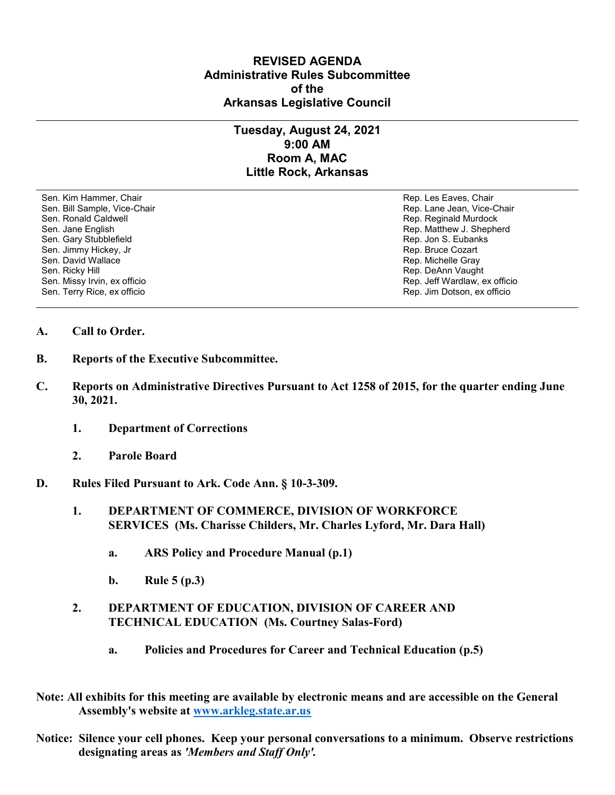## **REVISED AGENDA Administrative Rules Subcommittee of the Arkansas Legislative Council**

## **Tuesday, August 24, 2021 9:00 AM Room A, MAC Little Rock, Arkansas**

Sen. Kim Hammer, Chair Rep. Les Eaves, Chair Rep. Les Eaves, Chair Rep. Les Eaves, Chair Sen. Bill Sample, Vice-Chair November 1999, New York 1999, New York 1999, New York 1999, New York 1999, New York 1999 Sen. Ronald Caldwell **Rep. Reginald Murdock** Rep. Reginald Murdock Sen. Jane English Rep. Matthew J. Shepherd Sen. Gary Stubblefield **Rep. 3. Eubanks** Rep. Jon S. Eubanks Sen. Jimmy Hickey, Jr Sen. Jimmy Hickey, Jr Rep. Bruce Cozart<br>Sen. David Wallace Sen. Bruce Cozart Sen. David Wallace Sen. Ricky Hill Rep. DeAnn Vaught<br>Sen. Missy Irvin, ex officio November 2008, November 2009, New York Rep. Jeff Wardlaw, ex officio Sen. Missy Irvin, ex officio Sen. Terry Rice, ex officio Rep. Jim Dotson, ex officio

Rep. Michelle Gray

## **A. Call to Order.**

- **B. Reports of the Executive Subcommittee.**
- **C. Reports on Administrative Directives Pursuant to Act 1258 of 2015, for the quarter ending June 30, 2021.**
	- **1. Department of Corrections**
	- **2. Parole Board**
- **D. Rules Filed Pursuant to Ark. Code Ann. § 10-3-309.**
	- **1. DEPARTMENT OF COMMERCE, DIVISION OF WORKFORCE SERVICES (Ms. Charisse Childers, Mr. Charles Lyford, Mr. Dara Hall)**
		- **a. ARS Policy and Procedure Manual (p.1)**
		- **b. Rule 5 (p.3)**
	- **2. DEPARTMENT OF EDUCATION, DIVISION OF CAREER AND TECHNICAL EDUCATION (Ms. Courtney Salas-Ford)**
		- **a. Policies and Procedures for Career and Technical Education (p.5)**
- **Note: All exhibits for this meeting are available by electronic means and are accessible on the General Assembly's website at [www.arkleg.state.ar.us](http://www.arkleg.state.ar.us)**
- **Notice: Silence your cell phones. Keep your personal conversations to a minimum. Observe restrictions designating areas as** *'Members and Staff Only'.*